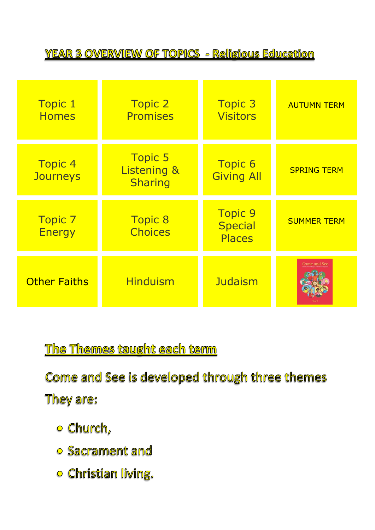**YEAR 3 OVERVIEW OF TOPICS - Religious Education** 

| <b>Topic 1</b><br><b>Homes</b>    | <b>Topic 2</b><br><b>Promises</b>               | <b>Topic 3</b><br><b>Visitors</b>                 | <b>AUTUMN TERM</b>  |
|-----------------------------------|-------------------------------------------------|---------------------------------------------------|---------------------|
| <b>Topic 4</b><br><b>Journeys</b> | <b>Topic 5</b><br>Listening &<br><b>Sharing</b> | <b>Topic 6</b><br><b>Giving All</b>               | <b>SPRING TERM</b>  |
| <b>Topic 7</b><br><b>Energy</b>   | <b>Topic 8</b><br><b>Choices</b>                | <b>Topic 9</b><br><b>Special</b><br><b>Places</b> | <b>SUMMER TERM</b>  |
| <b>Other Faiths</b>               | <b>Hinduism</b>                                 | <b>Judaism</b>                                    | <b>Come and See</b> |

The Themes taught each term

Come and See is developed through three themes

They are:

- o Church,
- o Sacrament and
- o Christian living.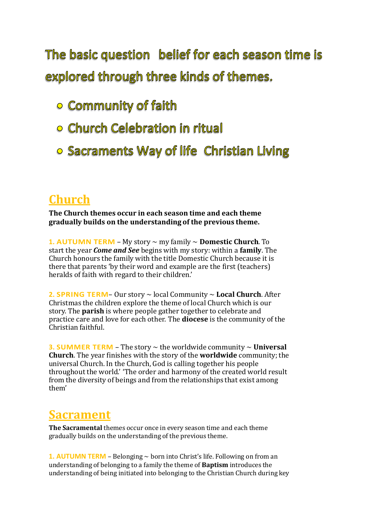The basic question belief for each season time is explored through three kinds of themes.

- o Community of faith
- **Church Celebration in ritual**
- o Sacraments Way of life Christian Living

## **Church**

**The Church themes occur in each season time and each theme gradually builds on the understanding of the previous theme.**

**1. AUTUMN TERM** – My story ~ my family ~ **Domestic Church**. To start the year *Come and See* begins with my story: within a **family**. The Church honours the family with the title Domestic Church because it is there that parents 'by their word and example are the first (teachers) heralds of faith with regard to their children.'

**2. SPRING TERM**– Our story ~ local Community ~ **Local Church**. After Christmas the children explore the theme of local Church which is our story. The **parish** is where people gather together to celebrate and practice care and love for each other. The **diocese** is the community of the Christian faithful.

**3. SUMMER TERM** – The story  $\sim$  the worldwide community  $\sim$  **Universal Church**. The year finishes with the story of the **worldwide** community;the universal Church. In the Church, God is calling together his people throughout the world.' 'The order and harmony of the created world result from the diversity of beings and from the relationships that exist among them'

## **Sacrament**

**The Sacramental** themes occur once in every season time and each theme gradually builds on the understanding of the previous theme.

**1. AUTUMN TERM** – Belonging  $\sim$  born into Christ's life. Following on from an understanding of belonging to a family the theme of **Baptism** introduces the understanding of being initiated into belonging to the Christian Church during key